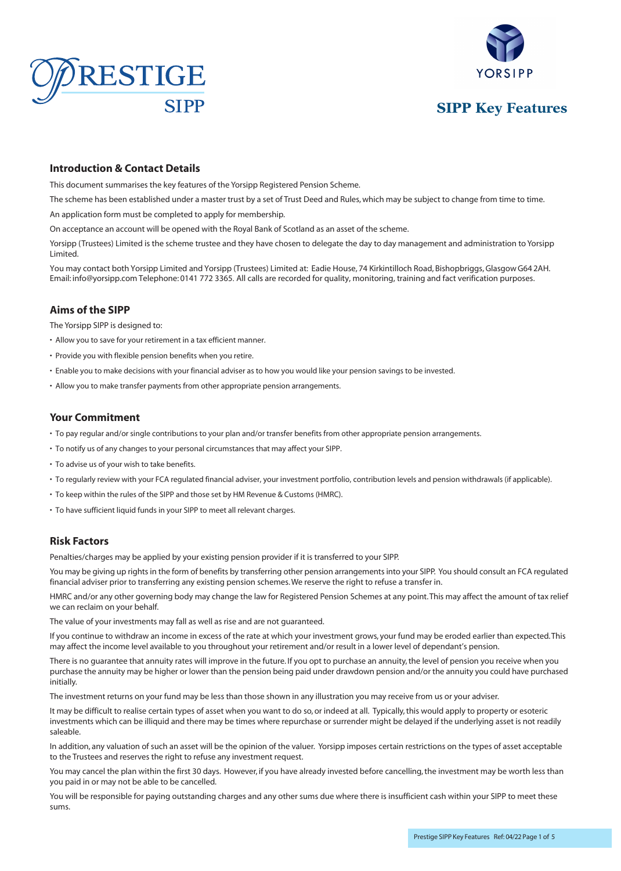





## **Introduction & Contact Details**

This document summarises the key features of the Yorsipp Registered Pension Scheme.

The scheme has been established under a master trust by a set of Trust Deed and Rules, which may be subject to change from time to time.

An application form must be completed to apply for membership.

On acceptance an account will be opened with the Royal Bank of Scotland as an asset of the scheme.

Yorsipp (Trustees) Limited is the scheme trustee and they have chosen to delegate the day to day management and administration to Yorsipp Limited.

You may contact both Yorsipp Limited and Yorsipp (Trustees) Limited at: Eadie House, 74 Kirkintilloch Road, Bishopbriggs, Glasgow G64 2AH. Email: info@yorsipp.com Telephone: 0141 772 3365. All calls are recorded for quality, monitoring, training and fact verification purposes.

## **Aims of the SIPP**

The Yorsipp SIPP is designed to:

- Allow you to save for your retirement in a tax efficient manner.
- Provide you with flexible pension benefits when you retire.
- Enable you to make decisions with your financial adviser as to how you would like your pension savings to be invested.
- Allow you to make transfer payments from other appropriate pension arrangements.

#### **Your Commitment**

- To pay regular and/or single contributions to your plan and/or transfer benefits from other appropriate pension arrangements.
- To notify us of any changes to your personal circumstances that may affect your SIPP.
- To advise us of your wish to take benefits.
- To regularly review with your FCA regulated financial adviser, your investment portfolio, contribution levels and pension withdrawals (if applicable).
- To keep within the rules of the SIPP and those set by HM Revenue & Customs (HMRC).
- To have sufficient liquid funds in your SIPP to meet all relevant charges.

# **Risk Factors**

Penalties/charges may be applied by your existing pension provider if it is transferred to your SIPP.

You may be giving up rights in the form of benefits by transferring other pension arrangements into your SIPP. You should consult an FCA regulated financial adviser prior to transferring any existing pension schemes. We reserve the right to refuse a transfer in.

HMRC and/or any other governing body may change the law for Registered Pension Schemes at any point. This may affect the amount of tax relief we can reclaim on your behalf.

The value of your investments may fall as well as rise and are not guaranteed.

If you continue to withdraw an income in excess of the rate at which your investment grows, your fund may be eroded earlier than expected. This may affect the income level available to you throughout your retirement and/or result in a lower level of dependant's pension.

There is no guarantee that annuity rates will improve in the future. If you opt to purchase an annuity, the level of pension you receive when you purchase the annuity may be higher or lower than the pension being paid under drawdown pension and/or the annuity you could have purchased initially.

The investment returns on your fund may be less than those shown in any illustration you may receive from us or your adviser.

It may be difficult to realise certain types of asset when you want to do so, or indeed at all. Typically, this would apply to property or esoteric investments which can be illiquid and there may be times where repurchase or surrender might be delayed if the underlying asset is not readily saleable.

In addition, any valuation of such an asset will be the opinion of the valuer. Yorsipp imposes certain restrictions on the types of asset acceptable to the Trustees and reserves the right to refuse any investment request.

You may cancel the plan within the first 30 days. However, if you have already invested before cancelling, the investment may be worth less than you paid in or may not be able to be cancelled.

You will be responsible for paying outstanding charges and any other sums due where there is insufficient cash within your SIPP to meet these sums.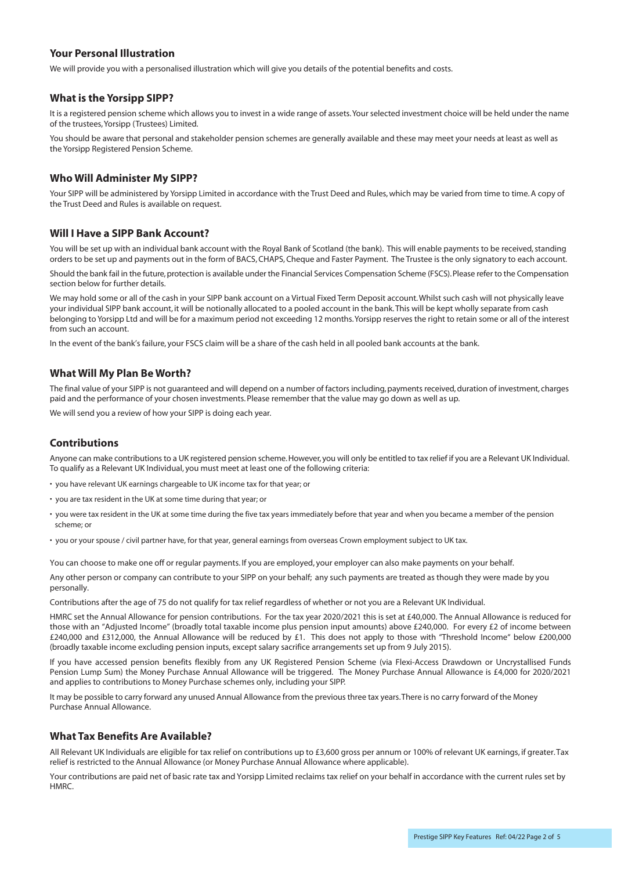# **Your Personal Illustration**

We will provide you with a personalised illustration which will give you details of the potential benefits and costs.

## **What is the Yorsipp SIPP?**

It is a registered pension scheme which allows you to invest in a wide range of assets. Your selected investment choice will be held under the name of the trustees, Yorsipp (Trustees) Limited.

You should be aware that personal and stakeholder pension schemes are generally available and these may meet your needs at least as well as the Yorsipp Registered Pension Scheme.

# **Who Will Administer My SIPP?**

Your SIPP will be administered by Yorsipp Limited in accordance with the Trust Deed and Rules, which may be varied from time to time. A copy of the Trust Deed and Rules is available on request.

## **Will I Have a SIPP Bank Account?**

You will be set up with an individual bank account with the Royal Bank of Scotland (the bank). This will enable payments to be received, standing orders to be set up and payments out in the form of BACS, CHAPS, Cheque and Faster Payment. The Trustee is the only signatory to each account.

Should the bank fail in the future, protection is available under the Financial Services Compensation Scheme (FSCS). Please refer to the Compensation section below for further details.

We may hold some or all of the cash in your SIPP bank account on a Virtual Fixed Term Deposit account. Whilst such cash will not physically leave your individual SIPP bank account, it will be notionally allocated to a pooled account in the bank. This will be kept wholly separate from cash belonging to Yorsipp Ltd and will be for a maximum period not exceeding 12 months. Yorsipp reserves the right to retain some or all of the interest from such an account.

In the event of the bank's failure, your FSCS claim will be a share of the cash held in all pooled bank accounts at the bank.

## **What Will My Plan Be Worth?**

The final value of your SIPP is not guaranteed and will depend on a number of factors including, payments received, duration of investment, charges paid and the performance of your chosen investments. Please remember that the value may go down as well as up.

We will send you a review of how your SIPP is doing each year.

# **Contributions**

Anyone can make contributions to a UK registered pension scheme. However, you will only be entitled to tax relief if you are a Relevant UK Individual. To qualify as a Relevant UK Individual, you must meet at least one of the following criteria:

- you have relevant UK earnings chargeable to UK income tax for that year; or
- you are tax resident in the UK at some time during that year; or
- you were tax resident in the UK at some time during the five tax years immediately before that year and when you became a member of the pension scheme; or
- you or your spouse / civil partner have, for that year, general earnings from overseas Crown employment subject to UK tax.

You can choose to make one off or regular payments. If you are employed, your employer can also make payments on your behalf.

Any other person or company can contribute to your SIPP on your behalf; any such payments are treated as though they were made by you personally.

Contributions after the age of 75 do not qualify for tax relief regardless of whether or not you are a Relevant UK Individual.

HMRC set the Annual Allowance for pension contributions. For the tax year 2020/2021 this is set at £40,000. The Annual Allowance is reduced for those with an "Adjusted Income" (broadly total taxable income plus pension input amounts) above £240,000. For every £2 of income between £240,000 and £312,000, the Annual Allowance will be reduced by £1. This does not apply to those with "Threshold Income" below £200,000 (broadly taxable income excluding pension inputs, except salary sacrifice arrangements set up from 9 July 2015).

If you have accessed pension benefits flexibly from any UK Registered Pension Scheme (via Flexi-Access Drawdown or Uncrystallised Funds Pension Lump Sum) the Money Purchase Annual Allowance will be triggered. The Money Purchase Annual Allowance is £4,000 for 2020/2021 and applies to contributions to Money Purchase schemes only, including your SIPP.

It may be possible to carry forward any unused Annual Allowance from the previous three tax years. There is no carry forward of the Money Purchase Annual Allowance.

## **What Tax Benefits Are Available?**

All Relevant UK Individuals are eligible for tax relief on contributions up to £3,600 gross per annum or 100% of relevant UK earnings, if greater. Tax relief is restricted to the Annual Allowance (or Money Purchase Annual Allowance where applicable).

Your contributions are paid net of basic rate tax and Yorsipp Limited reclaims tax relief on your behalf in accordance with the current rules set by HMRC.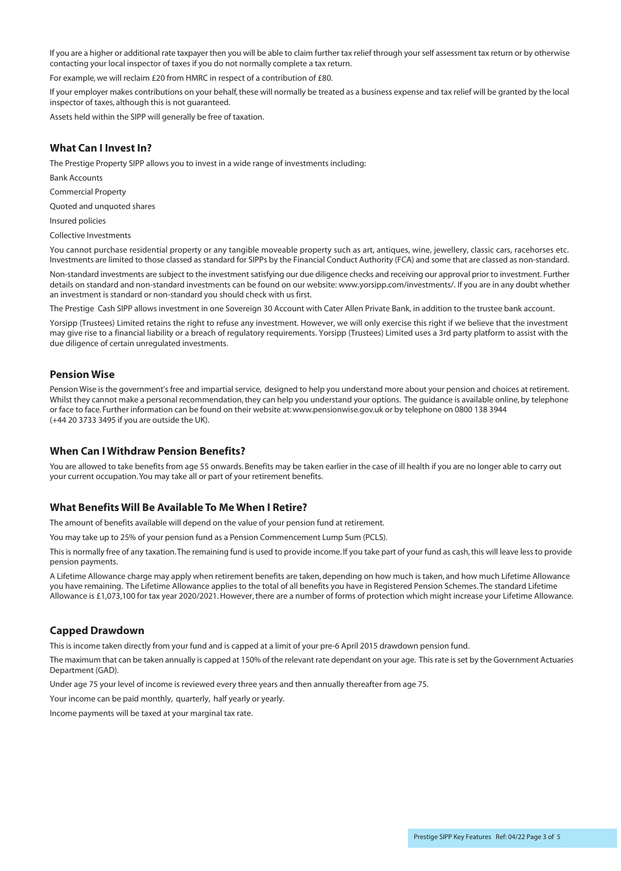If you are a higher or additional rate taxpayer then you will be able to claim further tax relief through yourself assessment tax return or by otherwise contacting your local inspector of taxes if you do not normally complete a tax return.

For example, we will reclaim £20 from HMRC in respect of a contribution of £80.

If your employer makes contributions on your behalf, these will normally be treated as a business expense and tax relief will be granted by the local inspector of taxes, although this is not guaranteed.

Assets held within the SIPP will generally be free of taxation.

# **What Can I Invest In?**

The Prestige Property SIPP allows you to invest in a wide range of investments including:

Bank Accounts

Commercial Property

Quoted and unquoted shares

Insured policies

Collective Investments

You cannot purchase residential property or any tangible moveable property such as art, antiques, wine, jewellery, classic cars, racehorses etc. Investments are limited to those classed as standard for SIPPs by the Financial Conduct Authority (FCA) and some that are classed as non-standard.

Non-standard investments are subject to the investment satisfying our due diligence checks and receiving our approval prior to investment. Further details on standard and non-standard investments can be found on our website: www.yorsipp.com/investments/. If you are in any doubt whether an investment is standard or non-standard you should check with us first.

The Prestige Cash SIPP allows investment in one Sovereign 30 Account with Cater Allen Private Bank, in addition to the trustee bank account.

Yorsipp (Trustees) Limited retains the right to refuse any investment. However, we will only exercise this right if we believe that the investment may give rise to a financial liability or a breach of regulatory requirements. Yorsipp (Trustees) Limited uses a 3rd party platform to assist with the due diligence of certain unregulated investments.

#### **Pension Wise**

Pension Wise is the government's free and impartial service, designed to help you understand more about your pension and choices at retirement. Whilst they cannot make a personal recommendation, they can help you understand your options. The guidance is available online, by telephone or face to face. Further information can be found on their website at: www.pensionwise.gov.uk or by telephone on 0800 138 3944 (+44 20 3733 3495 if you are outside the UK).

## **When Can I Withdraw Pension Benefits?**

You are allowed to take benefits from age 55 onwards. Benefits may be taken earlier in the case of ill health if you are no longer able to carry out your current occupation. You may take all or part of your retirement benefits.

## **What Benefits Will Be Available To Me When I Retire?**

The amount of benefits available will depend on the value of your pension fund at retirement.

You may take up to 25% of your pension fund as a Pension Commencement Lump Sum (PCLS).

Thisis normally free of any taxation. The remaining fund is used to provide income. If you take part of your fund as cash, this will leave less to provide pension payments.

A Lifetime Allowance charge may apply when retirement benefits are taken, depending on how much is taken, and how much Lifetime Allowance you have remaining. The Lifetime Allowance applies to the total of all benefits you have in Registered Pension Schemes. The standard Lifetime Allowance is £1,073,100 for tax year 2020/2021. However, there are a number of forms of protection which might increase your Lifetime Allowance.

## **Capped Drawdown**

This is income taken directly from your fund and is capped at a limit of your pre-6 April 2015 drawdown pension fund.

The maximum that can be taken annually is capped at 150% of the relevant rate dependant on your age. Thisrate isset by the Government Actuaries Department (GAD).

Under age 75 your level of income is reviewed every three years and then annually thereafter from age 75.

Your income can be paid monthly, quarterly, half yearly or yearly.

Income payments will be taxed at your marginal tax rate.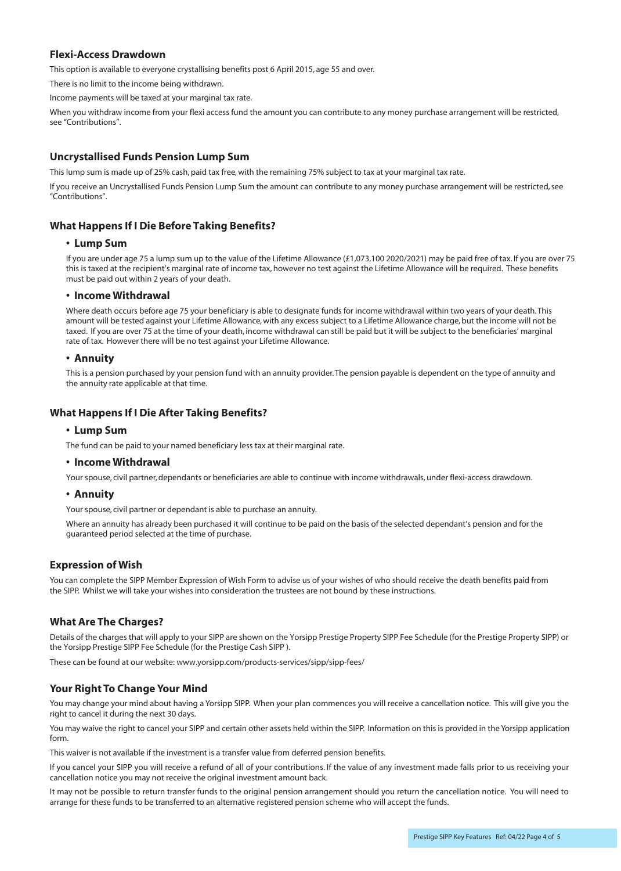# **Flexi-Access Drawdown**

This option is available to everyone crystallising benefits post 6 April 2015, age 55 and over.

There is no limit to the income being withdrawn.

Income payments will be taxed at your marginal tax rate.

When you withdraw income from your flexi access fund the amount you can contribute to any money purchase arrangement will be restricted, see "Contributions".

## **Uncrystallised Funds Pension Lump Sum**

This lump sum is made up of 25% cash, paid tax free, with the remaining 75% subject to tax at your marginal tax rate.

If you receive an Uncrystallised Funds Pension Lump Sum the amount can contribute to any money purchase arrangement will be restricted, see "Contributions".

## **What Happens If I Die Before Taking Benefits?**

#### **• Lump Sum**

If you are under age 75 a lump sum up to the value of the Lifetime Allowance (£1,073,100 2020/2021) may be paid free of tax. If you are over 75 this is taxed at the recipient's marginal rate of income tax, however no test against the Lifetime Allowance will be required. These benefits must be paid out within 2 years of your death.

#### **• Income Withdrawal**

Where death occurs before age 75 your beneficiary is able to designate funds for income withdrawal within two years of your death. This amount will be tested against your Lifetime Allowance, with any excess subject to a Lifetime Allowance charge, but the income will not be taxed. If you are over 75 at the time of your death, income withdrawal can still be paid but it will be subject to the beneficiaries' marginal rate of tax. However there will be no test against your Lifetime Allowance.

#### **• Annuity**

This is a pension purchased by your pension fund with an annuity provider. The pension payable is dependent on the type of annuity and the annuity rate applicable at that time.

## **What Happens If I Die After Taking Benefits?**

#### **• Lump Sum**

The fund can be paid to your named beneficiary less tax at their marginal rate.

#### **• Income Withdrawal**

Your spouse, civil partner, dependants or beneficiaries are able to continue with income withdrawals, under flexi-access drawdown.

#### **• Annuity**

Your spouse, civil partner or dependant is able to purchase an annuity.

Where an annuity has already been purchased it will continue to be paid on the basis of the selected dependant's pension and for the guaranteed period selected at the time of purchase.

#### **Expression of Wish**

You can complete the SIPP Member Expression of Wish Form to advise us of your wishes of who should receive the death benefits paid from the SIPP. Whilst we will take your wishes into consideration the trustees are not bound by these instructions.

## **What Are The Charges?**

Details of the charges that will apply to your SIPP are shown on the Yorsipp Prestige Property SIPP Fee Schedule (for the Prestige Property SIPP) or the Yorsipp Prestige SIPP Fee Schedule (for the Prestige Cash SIPP ).

These can be found at our website: www.yorsipp.com/products-services/sipp/sipp-fees/

## **Your Right To Change Your Mind**

You may change your mind about having a Yorsipp SIPP. When your plan commences you will receive a cancellation notice. This will give you the right to cancel it during the next 30 days.

You may waive the right to cancel your SIPP and certain other assets held within the SIPP. Information on this is provided in the Yorsipp application form.

This waiver is not available if the investment is a transfer value from deferred pension benefits.

If you cancel your SIPP you will receive a refund of all of your contributions. If the value of any investment made falls prior to us receiving your cancellation notice you may not receive the original investment amount back.

It may not be possible to return transfer funds to the original pension arrangement should you return the cancellation notice. You will need to arrange for these funds to be transferred to an alternative registered pension scheme who will accept the funds.